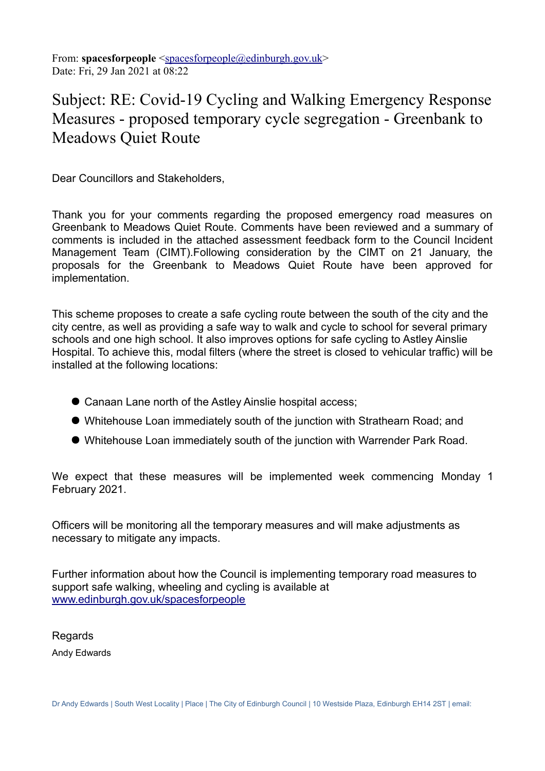From: **spacesforpeople** [<spacesforpeople@edinburgh.gov.uk>](mailto:spacesforpeople@edinburgh.gov.uk) Date: Fri, 29 Jan 2021 at 08:22

## Subject: RE: Covid-19 Cycling and Walking Emergency Response Measures - proposed temporary cycle segregation - Greenbank to Meadows Quiet Route

Dear Councillors and Stakeholders,

Thank you for your comments regarding the proposed emergency road measures on Greenbank to Meadows Quiet Route. Comments have been reviewed and a summary of comments is included in the attached assessment feedback form to the Council Incident Management Team (CIMT).Following consideration by the CIMT on 21 January, the proposals for the Greenbank to Meadows Quiet Route have been approved for implementation.

This scheme proposes to create a safe cycling route between the south of the city and the city centre, as well as providing a safe way to walk and cycle to school for several primary schools and one high school. It also improves options for safe cycling to Astley Ainslie Hospital. To achieve this, modal filters (where the street is closed to vehicular traffic) will be installed at the following locations:

- Canaan Lane north of the Astley Ainslie hospital access;
- Whitehouse Loan immediately south of the junction with Strathearn Road; and
- Whitehouse Loan immediately south of the junction with Warrender Park Road.

We expect that these measures will be implemented week commencing Monday 1 February 2021.

Officers will be monitoring all the temporary measures and will make adjustments as necessary to mitigate any impacts.

Further information about how the Council is implementing temporary road measures to support safe walking, wheeling and cycling is available at [www.edinburgh.gov.uk/spacesforpeople](http://www.edinburgh.gov.uk/spacesforpeople)

Regards Andy Edwards